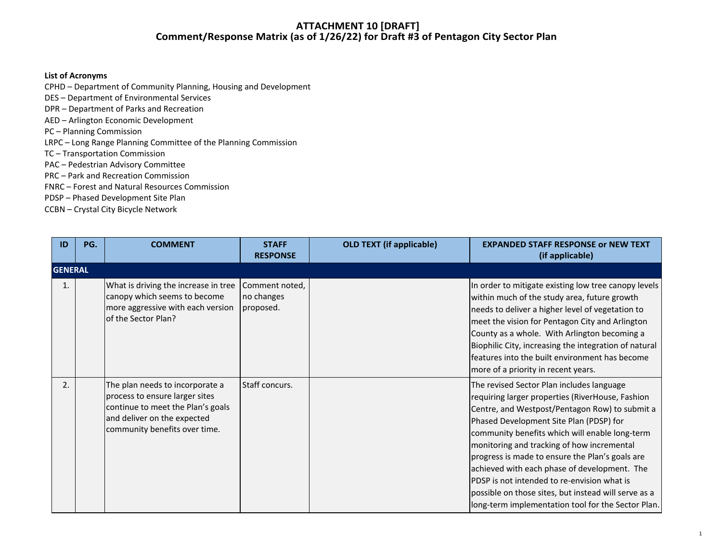#### **List of Acronyms**

CPHD – Department of Community Planning, Housing and Development

DES – Department of Environmental Services

- DPR Department of Parks and Recreation
- AED Arlington Economic Development

PC – Planning Commission

LRPC – Long Range Planning Committee of the Planning Commission

TC – Transportation Commission

PAC – Pedestrian Advisory Committee

PRC – Park and Recreation Commission

FNRC – Forest and Natural Resources Commission

PDSP – Phased Development Site Plan

CCBN – Crystal City Bicycle Network

| ID | PG.            | <b>COMMENT</b>                                                                                                                                                         | <b>STAFF</b><br><b>RESPONSE</b>           | <b>OLD TEXT (if applicable)</b> | <b>EXPANDED STAFF RESPONSE or NEW TEXT</b><br>(if applicable)                                                                                                                                                                                                                                                                                                                                                                                                                                                                                              |  |  |  |  |
|----|----------------|------------------------------------------------------------------------------------------------------------------------------------------------------------------------|-------------------------------------------|---------------------------------|------------------------------------------------------------------------------------------------------------------------------------------------------------------------------------------------------------------------------------------------------------------------------------------------------------------------------------------------------------------------------------------------------------------------------------------------------------------------------------------------------------------------------------------------------------|--|--|--|--|
|    | <b>GENERAL</b> |                                                                                                                                                                        |                                           |                                 |                                                                                                                                                                                                                                                                                                                                                                                                                                                                                                                                                            |  |  |  |  |
|    |                | What is driving the increase in tree<br>canopy which seems to become<br>more aggressive with each version<br>of the Sector Plan?                                       | Comment noted,<br>no changes<br>proposed. |                                 | In order to mitigate existing low tree canopy levels<br>within much of the study area, future growth<br>needs to deliver a higher level of vegetation to<br>meet the vision for Pentagon City and Arlington<br>County as a whole. With Arlington becoming a<br>Biophilic City, increasing the integration of natural<br>features into the built environment has become<br>more of a priority in recent years.                                                                                                                                              |  |  |  |  |
| 2. |                | The plan needs to incorporate a<br>process to ensure larger sites<br>continue to meet the Plan's goals<br>and deliver on the expected<br>community benefits over time. | Staff concurs.                            |                                 | The revised Sector Plan includes language<br>requiring larger properties (RiverHouse, Fashion<br>Centre, and Westpost/Pentagon Row) to submit a<br>Phased Development Site Plan (PDSP) for<br>community benefits which will enable long-term<br>monitoring and tracking of how incremental<br>progress is made to ensure the Plan's goals are<br>achieved with each phase of development. The<br>PDSP is not intended to re-envision what is<br>possible on those sites, but instead will serve as a<br>long-term implementation tool for the Sector Plan. |  |  |  |  |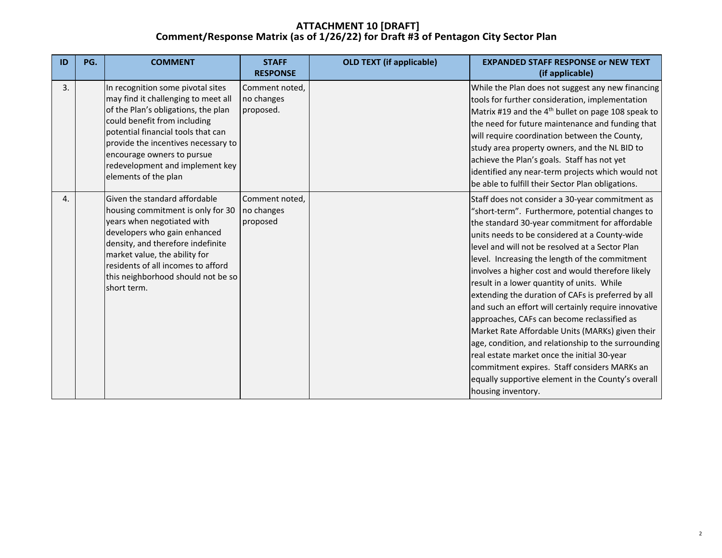| ID | PG. | <b>COMMENT</b>                                                                                                                                                                                                                                                                                                        | <b>STAFF</b><br><b>RESPONSE</b>           | <b>OLD TEXT (if applicable)</b> | <b>EXPANDED STAFF RESPONSE or NEW TEXT</b><br>(if applicable)                                                                                                                                                                                                                                                                                                                                                                                                                                                                                                                                                                                                                                                                                                                                                                                                    |
|----|-----|-----------------------------------------------------------------------------------------------------------------------------------------------------------------------------------------------------------------------------------------------------------------------------------------------------------------------|-------------------------------------------|---------------------------------|------------------------------------------------------------------------------------------------------------------------------------------------------------------------------------------------------------------------------------------------------------------------------------------------------------------------------------------------------------------------------------------------------------------------------------------------------------------------------------------------------------------------------------------------------------------------------------------------------------------------------------------------------------------------------------------------------------------------------------------------------------------------------------------------------------------------------------------------------------------|
| 3. |     | In recognition some pivotal sites<br>may find it challenging to meet all<br>of the Plan's obligations, the plan<br>could benefit from including<br>potential financial tools that can<br>provide the incentives necessary to<br>encourage owners to pursue<br>redevelopment and implement key<br>elements of the plan | Comment noted,<br>no changes<br>proposed. |                                 | While the Plan does not suggest any new financing<br>tools for further consideration, implementation<br>Matrix #19 and the 4 <sup>th</sup> bullet on page 108 speak to<br>the need for future maintenance and funding that<br>will require coordination between the County,<br>study area property owners, and the NL BID to<br>achieve the Plan's goals. Staff has not yet<br>identified any near-term projects which would not<br>be able to fulfill their Sector Plan obligations.                                                                                                                                                                                                                                                                                                                                                                            |
| 4. |     | Given the standard affordable<br>housing commitment is only for 30<br>years when negotiated with<br>developers who gain enhanced<br>density, and therefore indefinite<br>market value, the ability for<br>residents of all incomes to afford<br>this neighborhood should not be so<br>short term.                     | Comment noted,<br>no changes<br>proposed  |                                 | Staff does not consider a 30-year commitment as<br>"short-term". Furthermore, potential changes to<br>the standard 30-year commitment for affordable<br>units needs to be considered at a County-wide<br>level and will not be resolved at a Sector Plan<br>level. Increasing the length of the commitment<br>involves a higher cost and would therefore likely<br>result in a lower quantity of units. While<br>extending the duration of CAFs is preferred by all<br>and such an effort will certainly require innovative<br>approaches, CAFs can become reclassified as<br>Market Rate Affordable Units (MARKs) given their<br>age, condition, and relationship to the surrounding<br>real estate market once the initial 30-year<br>commitment expires. Staff considers MARKs an<br>equally supportive element in the County's overall<br>housing inventory. |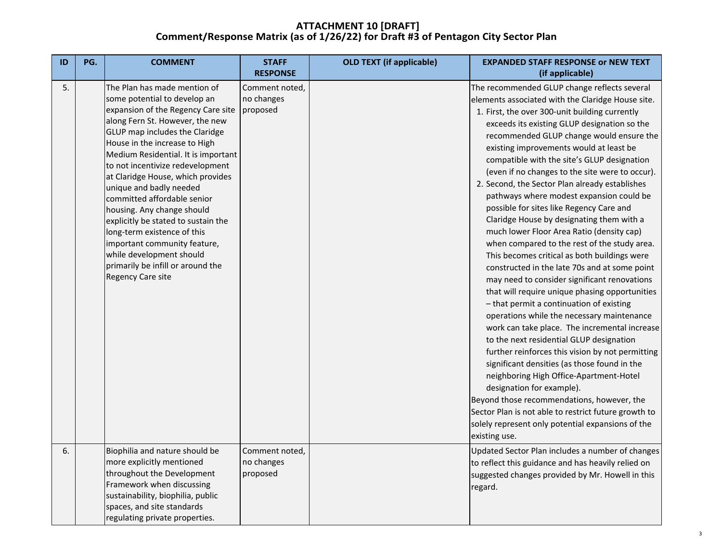| ID | PG. | <b>COMMENT</b>                                                                                                                                                                                                                                                                                                                                                                                                                                                                                                                                                                                                                 | <b>STAFF</b><br><b>RESPONSE</b>          | <b>OLD TEXT (if applicable)</b> | <b>EXPANDED STAFF RESPONSE or NEW TEXT</b><br>(if applicable)                                                                                                                                                                                                                                                                                                                                                                                                                                                                                                                                                                                                                                                                                                                                                                                                                                                                                                                                                                                                                                                                                                                                                                                                                                                                                                                                                                      |
|----|-----|--------------------------------------------------------------------------------------------------------------------------------------------------------------------------------------------------------------------------------------------------------------------------------------------------------------------------------------------------------------------------------------------------------------------------------------------------------------------------------------------------------------------------------------------------------------------------------------------------------------------------------|------------------------------------------|---------------------------------|------------------------------------------------------------------------------------------------------------------------------------------------------------------------------------------------------------------------------------------------------------------------------------------------------------------------------------------------------------------------------------------------------------------------------------------------------------------------------------------------------------------------------------------------------------------------------------------------------------------------------------------------------------------------------------------------------------------------------------------------------------------------------------------------------------------------------------------------------------------------------------------------------------------------------------------------------------------------------------------------------------------------------------------------------------------------------------------------------------------------------------------------------------------------------------------------------------------------------------------------------------------------------------------------------------------------------------------------------------------------------------------------------------------------------------|
| 5. |     | The Plan has made mention of<br>some potential to develop an<br>expansion of the Regency Care site   proposed<br>along Fern St. However, the new<br>GLUP map includes the Claridge<br>House in the increase to High<br>Medium Residential. It is important<br>to not incentivize redevelopment<br>at Claridge House, which provides<br>unique and badly needed<br>committed affordable senior<br>housing. Any change should<br>explicitly be stated to sustain the<br>long-term existence of this<br>important community feature,<br>while development should<br>primarily be infill or around the<br><b>Regency Care site</b> | Comment noted,<br>no changes             |                                 | The recommended GLUP change reflects several<br>elements associated with the Claridge House site.<br>1. First, the over 300-unit building currently<br>exceeds its existing GLUP designation so the<br>recommended GLUP change would ensure the<br>existing improvements would at least be<br>compatible with the site's GLUP designation<br>(even if no changes to the site were to occur).<br>2. Second, the Sector Plan already establishes<br>pathways where modest expansion could be<br>possible for sites like Regency Care and<br>Claridge House by designating them with a<br>much lower Floor Area Ratio (density cap)<br>when compared to the rest of the study area.<br>This becomes critical as both buildings were<br>constructed in the late 70s and at some point<br>may need to consider significant renovations<br>that will require unique phasing opportunities<br>- that permit a continuation of existing<br>operations while the necessary maintenance<br>work can take place. The incremental increase<br>to the next residential GLUP designation<br>further reinforces this vision by not permitting<br>significant densities (as those found in the<br>neighboring High Office-Apartment-Hotel<br>designation for example).<br>Beyond those recommendations, however, the<br>Sector Plan is not able to restrict future growth to<br>solely represent only potential expansions of the<br>existing use. |
| 6. |     | Biophilia and nature should be<br>more explicitly mentioned<br>throughout the Development<br>Framework when discussing<br>sustainability, biophilia, public<br>spaces, and site standards<br>regulating private properties.                                                                                                                                                                                                                                                                                                                                                                                                    | Comment noted,<br>no changes<br>proposed |                                 | Updated Sector Plan includes a number of changes<br>to reflect this guidance and has heavily relied on<br>suggested changes provided by Mr. Howell in this<br>regard.                                                                                                                                                                                                                                                                                                                                                                                                                                                                                                                                                                                                                                                                                                                                                                                                                                                                                                                                                                                                                                                                                                                                                                                                                                                              |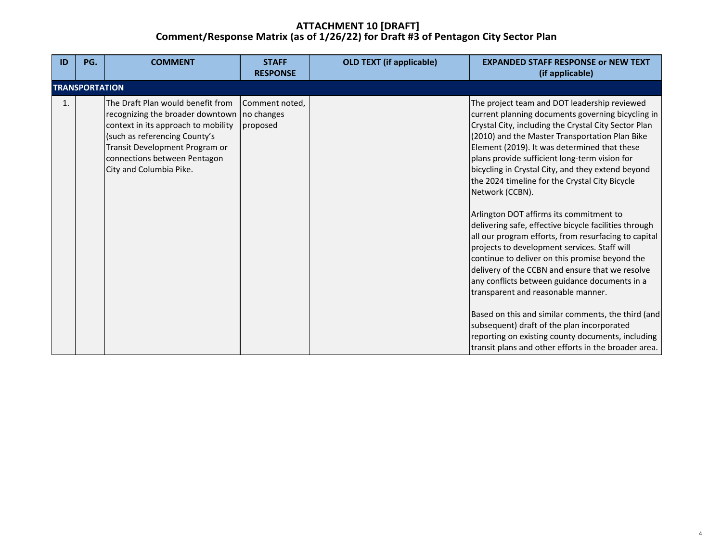| ID | PG.                   | <b>COMMENT</b>                                                                                                                                                                                                                                          | <b>STAFF</b><br><b>RESPONSE</b> | <b>OLD TEXT (if applicable)</b> | <b>EXPANDED STAFF RESPONSE or NEW TEXT</b><br>(if applicable)                                                                                                                                                                                                                                                                                                                                                                                                                                                                                                                                                                                                                                                                                                                                                                                                                                                                                                                                                                                                   |
|----|-----------------------|---------------------------------------------------------------------------------------------------------------------------------------------------------------------------------------------------------------------------------------------------------|---------------------------------|---------------------------------|-----------------------------------------------------------------------------------------------------------------------------------------------------------------------------------------------------------------------------------------------------------------------------------------------------------------------------------------------------------------------------------------------------------------------------------------------------------------------------------------------------------------------------------------------------------------------------------------------------------------------------------------------------------------------------------------------------------------------------------------------------------------------------------------------------------------------------------------------------------------------------------------------------------------------------------------------------------------------------------------------------------------------------------------------------------------|
|    | <b>TRANSPORTATION</b> |                                                                                                                                                                                                                                                         |                                 |                                 |                                                                                                                                                                                                                                                                                                                                                                                                                                                                                                                                                                                                                                                                                                                                                                                                                                                                                                                                                                                                                                                                 |
| 1. |                       | The Draft Plan would benefit from<br>recognizing the broader downtown   no changes<br>context in its approach to mobility<br>(such as referencing County's<br>Transit Development Program or<br>connections between Pentagon<br>City and Columbia Pike. | Comment noted,<br>proposed      |                                 | The project team and DOT leadership reviewed<br>current planning documents governing bicycling in<br>Crystal City, including the Crystal City Sector Plan<br>(2010) and the Master Transportation Plan Bike<br>Element (2019). It was determined that these<br>plans provide sufficient long-term vision for<br>bicycling in Crystal City, and they extend beyond<br>the 2024 timeline for the Crystal City Bicycle<br>Network (CCBN).<br>Arlington DOT affirms its commitment to<br>delivering safe, effective bicycle facilities through<br>all our program efforts, from resurfacing to capital<br>projects to development services. Staff will<br>continue to deliver on this promise beyond the<br>delivery of the CCBN and ensure that we resolve<br>any conflicts between guidance documents in a<br>transparent and reasonable manner.<br>Based on this and similar comments, the third (and<br>subsequent) draft of the plan incorporated<br>reporting on existing county documents, including<br>transit plans and other efforts in the broader area. |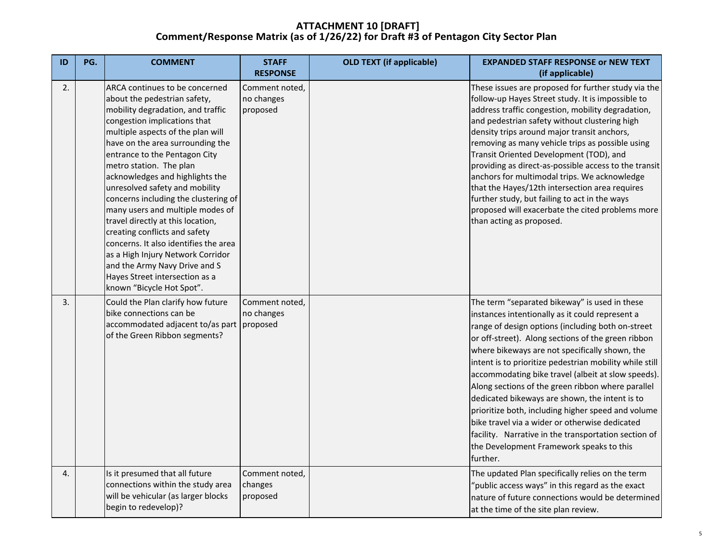| ID | PG. | <b>COMMENT</b>                                                                                                                                                                                                                                                                                                                                                                                                                                                                                                                                                                                                                                                                | <b>STAFF</b><br><b>RESPONSE</b>          | <b>OLD TEXT (if applicable)</b> | <b>EXPANDED STAFF RESPONSE or NEW TEXT</b><br>(if applicable)                                                                                                                                                                                                                                                                                                                                                                                                                                                                                                                                                                                                                                                 |
|----|-----|-------------------------------------------------------------------------------------------------------------------------------------------------------------------------------------------------------------------------------------------------------------------------------------------------------------------------------------------------------------------------------------------------------------------------------------------------------------------------------------------------------------------------------------------------------------------------------------------------------------------------------------------------------------------------------|------------------------------------------|---------------------------------|---------------------------------------------------------------------------------------------------------------------------------------------------------------------------------------------------------------------------------------------------------------------------------------------------------------------------------------------------------------------------------------------------------------------------------------------------------------------------------------------------------------------------------------------------------------------------------------------------------------------------------------------------------------------------------------------------------------|
| 2. |     | ARCA continues to be concerned<br>about the pedestrian safety,<br>mobility degradation, and traffic<br>congestion implications that<br>multiple aspects of the plan will<br>have on the area surrounding the<br>entrance to the Pentagon City<br>metro station. The plan<br>acknowledges and highlights the<br>unresolved safety and mobility<br>concerns including the clustering of<br>many users and multiple modes of<br>travel directly at this location,<br>creating conflicts and safety<br>concerns. It also identifies the area<br>as a High Injury Network Corridor<br>and the Army Navy Drive and S<br>Hayes Street intersection as a<br>known "Bicycle Hot Spot". | Comment noted,<br>no changes<br>proposed |                                 | These issues are proposed for further study via the<br>follow-up Hayes Street study. It is impossible to<br>address traffic congestion, mobility degradation,<br>and pedestrian safety without clustering high<br>density trips around major transit anchors,<br>removing as many vehicle trips as possible using<br>Transit Oriented Development (TOD), and<br>providing as direct-as-possible access to the transit<br>anchors for multimodal trips. We acknowledge<br>that the Hayes/12th intersection area requires<br>further study, but failing to act in the ways<br>proposed will exacerbate the cited problems more<br>than acting as proposed.                                                      |
| 3. |     | Could the Plan clarify how future<br>bike connections can be<br>accommodated adjacent to/as part proposed<br>of the Green Ribbon segments?                                                                                                                                                                                                                                                                                                                                                                                                                                                                                                                                    | Comment noted,<br>no changes             |                                 | The term "separated bikeway" is used in these<br>instances intentionally as it could represent a<br>range of design options (including both on-street<br>or off-street). Along sections of the green ribbon<br>where bikeways are not specifically shown, the<br>intent is to prioritize pedestrian mobility while still<br>accommodating bike travel (albeit at slow speeds).<br>Along sections of the green ribbon where parallel<br>dedicated bikeways are shown, the intent is to<br>prioritize both, including higher speed and volume<br>bike travel via a wider or otherwise dedicated<br>facility. Narrative in the transportation section of<br>the Development Framework speaks to this<br>further. |
| 4. |     | Is it presumed that all future<br>connections within the study area<br>will be vehicular (as larger blocks<br>begin to redevelop)?                                                                                                                                                                                                                                                                                                                                                                                                                                                                                                                                            | Comment noted,<br>changes<br>proposed    |                                 | The updated Plan specifically relies on the term<br>'public access ways" in this regard as the exact<br>nature of future connections would be determined<br>at the time of the site plan review.                                                                                                                                                                                                                                                                                                                                                                                                                                                                                                              |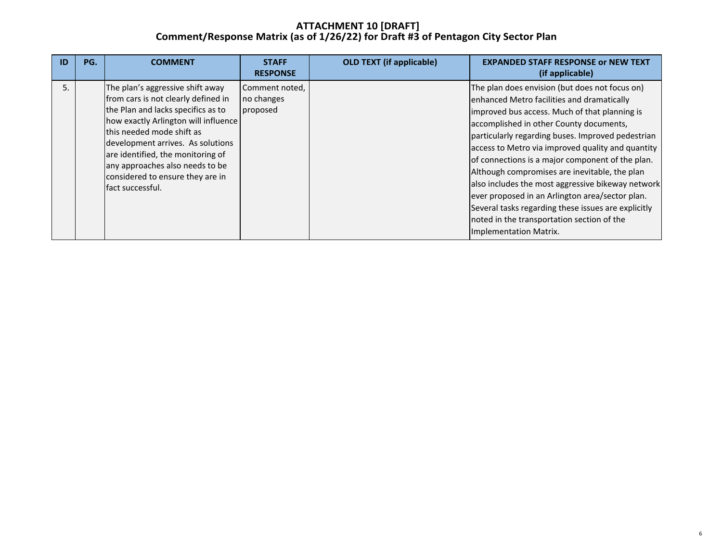| ID | PG. | <b>COMMENT</b>                                                                                                                                                                                                                                                                                                                                          | <b>STAFF</b><br><b>RESPONSE</b>          | <b>OLD TEXT (if applicable)</b> | <b>EXPANDED STAFF RESPONSE or NEW TEXT</b><br>(if applicable)                                                                                                                                                                                                                                                                                                                                                                                                                                                                                                                                                                                  |
|----|-----|---------------------------------------------------------------------------------------------------------------------------------------------------------------------------------------------------------------------------------------------------------------------------------------------------------------------------------------------------------|------------------------------------------|---------------------------------|------------------------------------------------------------------------------------------------------------------------------------------------------------------------------------------------------------------------------------------------------------------------------------------------------------------------------------------------------------------------------------------------------------------------------------------------------------------------------------------------------------------------------------------------------------------------------------------------------------------------------------------------|
|    |     | The plan's aggressive shift away<br>from cars is not clearly defined in<br>the Plan and lacks specifics as to<br>how exactly Arlington will influence<br>this needed mode shift as<br>development arrives. As solutions<br>are identified, the monitoring of<br>any approaches also needs to be<br>considered to ensure they are in<br>fact successful. | Comment noted,<br>no changes<br>proposed |                                 | The plan does envision (but does not focus on)<br>enhanced Metro facilities and dramatically<br>improved bus access. Much of that planning is<br>accomplished in other County documents,<br>particularly regarding buses. Improved pedestrian<br>access to Metro via improved quality and quantity<br>of connections is a major component of the plan.<br>Although compromises are inevitable, the plan<br>also includes the most aggressive bikeway network<br>ever proposed in an Arlington area/sector plan.<br>Several tasks regarding these issues are explicitly<br>noted in the transportation section of the<br>Implementation Matrix. |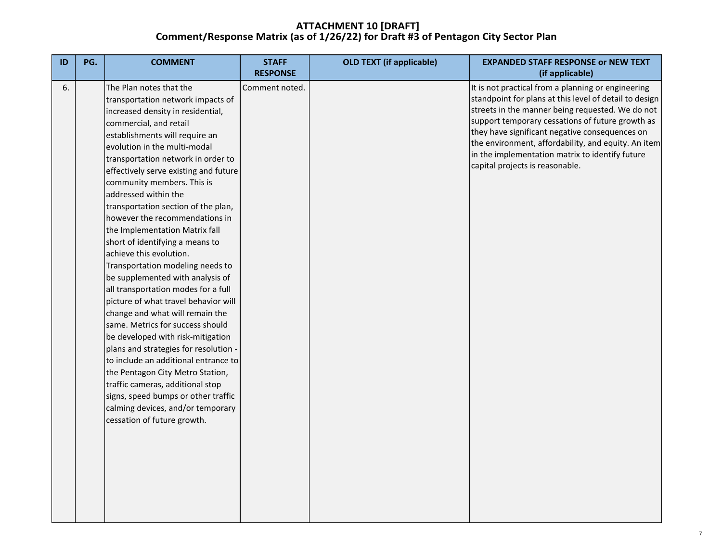| ID | PG. | <b>COMMENT</b>                                                          | <b>STAFF</b><br><b>RESPONSE</b> | <b>OLD TEXT (if applicable)</b> | <b>EXPANDED STAFF RESPONSE or NEW TEXT</b><br>(if applicable)                                        |
|----|-----|-------------------------------------------------------------------------|---------------------------------|---------------------------------|------------------------------------------------------------------------------------------------------|
| 6. |     | The Plan notes that the                                                 | Comment noted.                  |                                 | It is not practical from a planning or engineering                                                   |
|    |     | transportation network impacts of                                       |                                 |                                 | standpoint for plans at this level of detail to design                                               |
|    |     | increased density in residential,                                       |                                 |                                 | streets in the manner being requested. We do not<br>support temporary cessations of future growth as |
|    |     | commercial, and retail                                                  |                                 |                                 | they have significant negative consequences on                                                       |
|    |     | establishments will require an                                          |                                 |                                 | the environment, affordability, and equity. An item                                                  |
|    |     | evolution in the multi-modal                                            |                                 |                                 | in the implementation matrix to identify future                                                      |
|    |     | transportation network in order to                                      |                                 |                                 | capital projects is reasonable.                                                                      |
|    |     | effectively serve existing and future                                   |                                 |                                 |                                                                                                      |
|    |     | community members. This is                                              |                                 |                                 |                                                                                                      |
|    |     | addressed within the                                                    |                                 |                                 |                                                                                                      |
|    |     | transportation section of the plan,                                     |                                 |                                 |                                                                                                      |
|    |     | however the recommendations in                                          |                                 |                                 |                                                                                                      |
|    |     | the Implementation Matrix fall                                          |                                 |                                 |                                                                                                      |
|    |     | short of identifying a means to                                         |                                 |                                 |                                                                                                      |
|    |     | achieve this evolution.                                                 |                                 |                                 |                                                                                                      |
|    |     | Transportation modeling needs to                                        |                                 |                                 |                                                                                                      |
|    |     | be supplemented with analysis of<br>all transportation modes for a full |                                 |                                 |                                                                                                      |
|    |     | picture of what travel behavior will                                    |                                 |                                 |                                                                                                      |
|    |     | change and what will remain the                                         |                                 |                                 |                                                                                                      |
|    |     | same. Metrics for success should                                        |                                 |                                 |                                                                                                      |
|    |     | be developed with risk-mitigation                                       |                                 |                                 |                                                                                                      |
|    |     | plans and strategies for resolution -                                   |                                 |                                 |                                                                                                      |
|    |     | to include an additional entrance to                                    |                                 |                                 |                                                                                                      |
|    |     | the Pentagon City Metro Station,                                        |                                 |                                 |                                                                                                      |
|    |     | traffic cameras, additional stop                                        |                                 |                                 |                                                                                                      |
|    |     | signs, speed bumps or other traffic                                     |                                 |                                 |                                                                                                      |
|    |     | calming devices, and/or temporary                                       |                                 |                                 |                                                                                                      |
|    |     | cessation of future growth.                                             |                                 |                                 |                                                                                                      |
|    |     |                                                                         |                                 |                                 |                                                                                                      |
|    |     |                                                                         |                                 |                                 |                                                                                                      |
|    |     |                                                                         |                                 |                                 |                                                                                                      |
|    |     |                                                                         |                                 |                                 |                                                                                                      |
|    |     |                                                                         |                                 |                                 |                                                                                                      |
|    |     |                                                                         |                                 |                                 |                                                                                                      |
|    |     |                                                                         |                                 |                                 |                                                                                                      |
|    |     |                                                                         |                                 |                                 |                                                                                                      |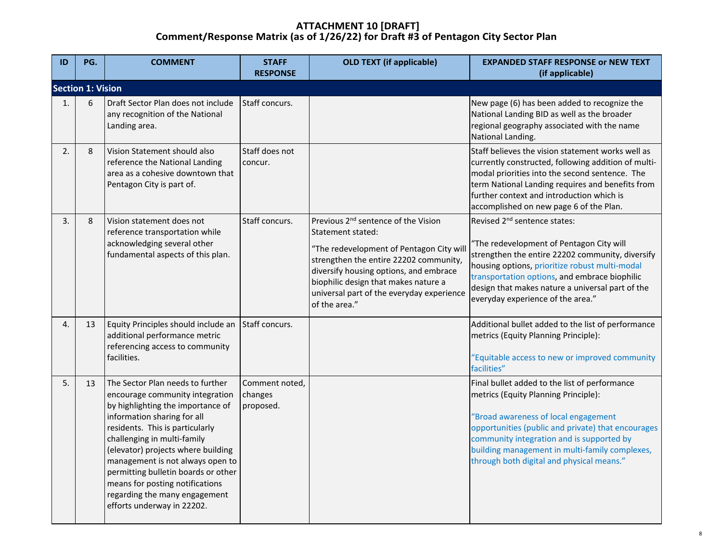| ID | PG.                      | <b>COMMENT</b>                                                                                                                                                                                                                                                                                                                                                                                                               | <b>STAFF</b><br><b>RESPONSE</b>        | <b>OLD TEXT (if applicable)</b>                                                                                                                                                                                                                                                                            | <b>EXPANDED STAFF RESPONSE or NEW TEXT</b><br>(if applicable)                                                                                                                                                                                                                                                                        |
|----|--------------------------|------------------------------------------------------------------------------------------------------------------------------------------------------------------------------------------------------------------------------------------------------------------------------------------------------------------------------------------------------------------------------------------------------------------------------|----------------------------------------|------------------------------------------------------------------------------------------------------------------------------------------------------------------------------------------------------------------------------------------------------------------------------------------------------------|--------------------------------------------------------------------------------------------------------------------------------------------------------------------------------------------------------------------------------------------------------------------------------------------------------------------------------------|
|    | <b>Section 1: Vision</b> |                                                                                                                                                                                                                                                                                                                                                                                                                              |                                        |                                                                                                                                                                                                                                                                                                            |                                                                                                                                                                                                                                                                                                                                      |
| 1. | 6                        | Draft Sector Plan does not include<br>any recognition of the National<br>Landing area.                                                                                                                                                                                                                                                                                                                                       | Staff concurs.                         |                                                                                                                                                                                                                                                                                                            | New page (6) has been added to recognize the<br>National Landing BID as well as the broader<br>regional geography associated with the name<br>National Landing.                                                                                                                                                                      |
| 2. | 8                        | Vision Statement should also<br>reference the National Landing<br>area as a cohesive downtown that<br>Pentagon City is part of.                                                                                                                                                                                                                                                                                              | Staff does not<br>concur.              |                                                                                                                                                                                                                                                                                                            | Staff believes the vision statement works well as<br>currently constructed, following addition of multi-<br>modal priorities into the second sentence. The<br>term National Landing requires and benefits from<br>further context and introduction which is<br>accomplished on new page 6 of the Plan.                               |
| 3. | 8                        | Vision statement does not<br>reference transportation while<br>acknowledging several other<br>fundamental aspects of this plan.                                                                                                                                                                                                                                                                                              | Staff concurs.                         | Previous 2 <sup>nd</sup> sentence of the Vision<br>Statement stated:<br>"The redevelopment of Pentagon City will<br>strengthen the entire 22202 community,<br>diversify housing options, and embrace<br>biophilic design that makes nature a<br>universal part of the everyday experience<br>of the area." | Revised 2 <sup>nd</sup> sentence states:<br>"The redevelopment of Pentagon City will<br>strengthen the entire 22202 community, diversify<br>housing options, prioritize robust multi-modal<br>transportation options, and embrace biophilic<br>design that makes nature a universal part of the<br>everyday experience of the area." |
| 4. | 13                       | Equity Principles should include an<br>additional performance metric<br>referencing access to community<br>facilities.                                                                                                                                                                                                                                                                                                       | Staff concurs.                         |                                                                                                                                                                                                                                                                                                            | Additional bullet added to the list of performance<br>metrics (Equity Planning Principle):<br>"Equitable access to new or improved community<br>facilities"                                                                                                                                                                          |
| 5. | 13                       | The Sector Plan needs to further<br>encourage community integration<br>by highlighting the importance of<br>information sharing for all<br>residents. This is particularly<br>challenging in multi-family<br>(elevator) projects where building<br>management is not always open to<br>permitting bulletin boards or other<br>means for posting notifications<br>regarding the many engagement<br>efforts underway in 22202. | Comment noted,<br>changes<br>proposed. |                                                                                                                                                                                                                                                                                                            | Final bullet added to the list of performance<br>metrics (Equity Planning Principle):<br>'Broad awareness of local engagement<br>opportunities (public and private) that encourages<br>community integration and is supported by<br>building management in multi-family complexes,<br>through both digital and physical means."      |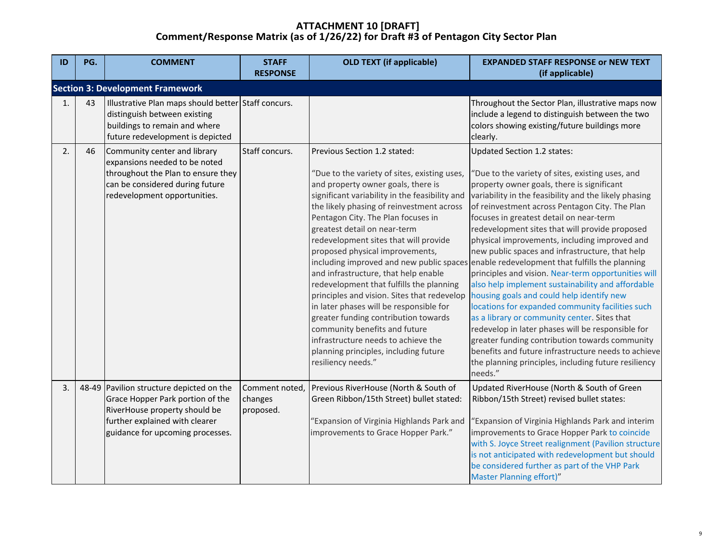| ID                                      | PG. | <b>COMMENT</b>                                                                                                                                                                      | <b>STAFF</b><br><b>RESPONSE</b>        | <b>OLD TEXT (if applicable)</b>                                                                                                                                                                                                                                                                                                                                                                                                                                                                                                                                                                                                                                                                                                  | <b>EXPANDED STAFF RESPONSE or NEW TEXT</b><br>(if applicable)                                                                                                                                                                                                                                                                                                                                                                                                                                                                                                                                                                                                                                                                                                                                                                                                                                                                                                                                                                       |  |  |  |  |
|-----------------------------------------|-----|-------------------------------------------------------------------------------------------------------------------------------------------------------------------------------------|----------------------------------------|----------------------------------------------------------------------------------------------------------------------------------------------------------------------------------------------------------------------------------------------------------------------------------------------------------------------------------------------------------------------------------------------------------------------------------------------------------------------------------------------------------------------------------------------------------------------------------------------------------------------------------------------------------------------------------------------------------------------------------|-------------------------------------------------------------------------------------------------------------------------------------------------------------------------------------------------------------------------------------------------------------------------------------------------------------------------------------------------------------------------------------------------------------------------------------------------------------------------------------------------------------------------------------------------------------------------------------------------------------------------------------------------------------------------------------------------------------------------------------------------------------------------------------------------------------------------------------------------------------------------------------------------------------------------------------------------------------------------------------------------------------------------------------|--|--|--|--|
| <b>Section 3: Development Framework</b> |     |                                                                                                                                                                                     |                                        |                                                                                                                                                                                                                                                                                                                                                                                                                                                                                                                                                                                                                                                                                                                                  |                                                                                                                                                                                                                                                                                                                                                                                                                                                                                                                                                                                                                                                                                                                                                                                                                                                                                                                                                                                                                                     |  |  |  |  |
| 1.                                      | 43  | Illustrative Plan maps should better Staff concurs.<br>distinguish between existing<br>buildings to remain and where<br>future redevelopment is depicted                            |                                        |                                                                                                                                                                                                                                                                                                                                                                                                                                                                                                                                                                                                                                                                                                                                  | Throughout the Sector Plan, illustrative maps now<br>include a legend to distinguish between the two<br>colors showing existing/future buildings more<br>clearly.                                                                                                                                                                                                                                                                                                                                                                                                                                                                                                                                                                                                                                                                                                                                                                                                                                                                   |  |  |  |  |
| 2.                                      | 46  | Community center and library<br>expansions needed to be noted<br>throughout the Plan to ensure they<br>can be considered during future<br>redevelopment opportunities.              | Staff concurs.                         | Previous Section 1.2 stated:<br>"Due to the variety of sites, existing uses,<br>and property owner goals, there is<br>significant variability in the feasibility and<br>the likely phasing of reinvestment across<br>Pentagon City. The Plan focuses in<br>greatest detail on near-term<br>redevelopment sites that will provide<br>proposed physical improvements,<br>and infrastructure, that help enable<br>redevelopment that fulfills the planning<br>principles and vision. Sites that redevelop<br>in later phases will be responsible for<br>greater funding contribution towards<br>community benefits and future<br>infrastructure needs to achieve the<br>planning principles, including future<br>resiliency needs." | Updated Section 1.2 states:<br>'Due to the variety of sites, existing uses, and<br>property owner goals, there is significant<br>variability in the feasibility and the likely phasing<br>of reinvestment across Pentagon City. The Plan<br>focuses in greatest detail on near-term<br>redevelopment sites that will provide proposed<br>physical improvements, including improved and<br>new public spaces and infrastructure, that help<br>including improved and new public spaces enable redevelopment that fulfills the planning<br>principles and vision. Near-term opportunities will<br>also help implement sustainability and affordable<br>housing goals and could help identify new<br>locations for expanded community facilities such<br>as a library or community center. Sites that<br>redevelop in later phases will be responsible for<br>greater funding contribution towards community<br>benefits and future infrastructure needs to achieve<br>the planning principles, including future resiliency<br>needs." |  |  |  |  |
| 3.                                      |     | 48-49 Pavilion structure depicted on the<br>Grace Hopper Park portion of the<br>RiverHouse property should be<br>further explained with clearer<br>guidance for upcoming processes. | Comment noted,<br>changes<br>proposed. | Previous RiverHouse (North & South of<br>Green Ribbon/15th Street) bullet stated:<br>Expansion of Virginia Highlands Park and<br>improvements to Grace Hopper Park."                                                                                                                                                                                                                                                                                                                                                                                                                                                                                                                                                             | Updated RiverHouse (North & South of Green<br>Ribbon/15th Street) revised bullet states:<br>Expansion of Virginia Highlands Park and interim<br>improvements to Grace Hopper Park to coincide<br>with S. Joyce Street realignment (Pavilion structure<br>is not anticipated with redevelopment but should<br>be considered further as part of the VHP Park<br>Master Planning effort)"                                                                                                                                                                                                                                                                                                                                                                                                                                                                                                                                                                                                                                              |  |  |  |  |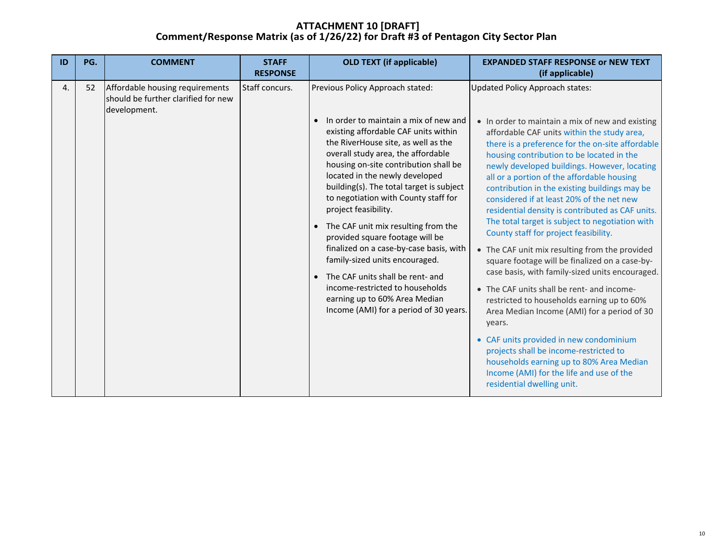| ID | PG. | <b>COMMENT</b>                                                                         | <b>STAFF</b><br><b>RESPONSE</b> | <b>OLD TEXT (if applicable)</b>                                                                                                                                                                                                                                                                                                                                                                                                                                                                                                                                                                                                                                                                             | <b>EXPANDED STAFF RESPONSE or NEW TEXT</b><br>(if applicable)                                                                                                                                                                                                                                                                                                                                                                                                                                                                                                                                                                                                                                                                                                                                                                                                                                                                                                                                                                                                                                          |
|----|-----|----------------------------------------------------------------------------------------|---------------------------------|-------------------------------------------------------------------------------------------------------------------------------------------------------------------------------------------------------------------------------------------------------------------------------------------------------------------------------------------------------------------------------------------------------------------------------------------------------------------------------------------------------------------------------------------------------------------------------------------------------------------------------------------------------------------------------------------------------------|--------------------------------------------------------------------------------------------------------------------------------------------------------------------------------------------------------------------------------------------------------------------------------------------------------------------------------------------------------------------------------------------------------------------------------------------------------------------------------------------------------------------------------------------------------------------------------------------------------------------------------------------------------------------------------------------------------------------------------------------------------------------------------------------------------------------------------------------------------------------------------------------------------------------------------------------------------------------------------------------------------------------------------------------------------------------------------------------------------|
| 4. | 52  | Affordable housing requirements<br>should be further clarified for new<br>development. | Staff concurs.                  | Previous Policy Approach stated:<br>In order to maintain a mix of new and<br>$\bullet$<br>existing affordable CAF units within<br>the RiverHouse site, as well as the<br>overall study area, the affordable<br>housing on-site contribution shall be<br>located in the newly developed<br>building(s). The total target is subject<br>to negotiation with County staff for<br>project feasibility.<br>The CAF unit mix resulting from the<br>provided square footage will be<br>finalized on a case-by-case basis, with<br>family-sized units encouraged.<br>The CAF units shall be rent- and<br>income-restricted to households<br>earning up to 60% Area Median<br>Income (AMI) for a period of 30 years. | Updated Policy Approach states:<br>• In order to maintain a mix of new and existing<br>affordable CAF units within the study area,<br>there is a preference for the on-site affordable<br>housing contribution to be located in the<br>newly developed buildings. However, locating<br>all or a portion of the affordable housing<br>contribution in the existing buildings may be<br>considered if at least 20% of the net new<br>residential density is contributed as CAF units.<br>The total target is subject to negotiation with<br>County staff for project feasibility.<br>• The CAF unit mix resulting from the provided<br>square footage will be finalized on a case-by-<br>case basis, with family-sized units encouraged.<br>• The CAF units shall be rent- and income-<br>restricted to households earning up to 60%<br>Area Median Income (AMI) for a period of 30<br>years.<br>• CAF units provided in new condominium<br>projects shall be income-restricted to<br>households earning up to 80% Area Median<br>Income (AMI) for the life and use of the<br>residential dwelling unit. |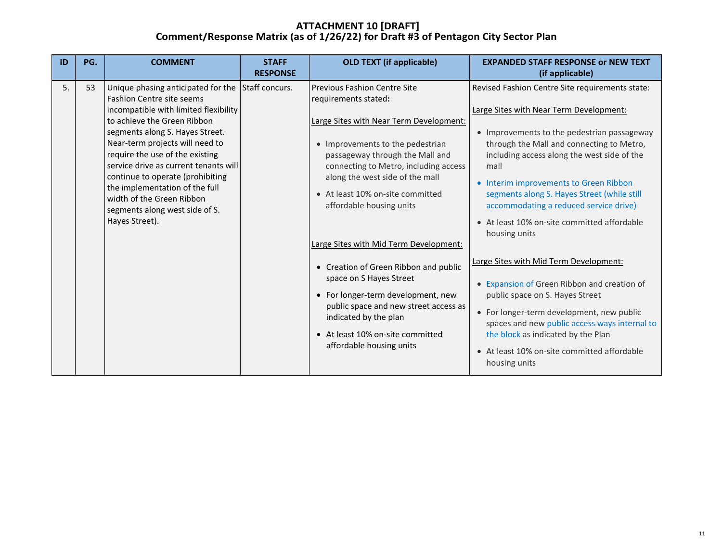| ID | PG.                                                                                                                                                                                                                                                                                                                                                                                                                                                           | <b>COMMENT</b> | <b>STAFF</b><br><b>RESPONSE</b>                                                                                                                                                                                                                                                                                           | <b>OLD TEXT (if applicable)</b>                                                                                                                                                                                                                                                                                                                                                                                                 | <b>EXPANDED STAFF RESPONSE or NEW TEXT</b><br>(if applicable)                                                                                                                                                                                                                                                                                 |
|----|---------------------------------------------------------------------------------------------------------------------------------------------------------------------------------------------------------------------------------------------------------------------------------------------------------------------------------------------------------------------------------------------------------------------------------------------------------------|----------------|---------------------------------------------------------------------------------------------------------------------------------------------------------------------------------------------------------------------------------------------------------------------------------------------------------------------------|---------------------------------------------------------------------------------------------------------------------------------------------------------------------------------------------------------------------------------------------------------------------------------------------------------------------------------------------------------------------------------------------------------------------------------|-----------------------------------------------------------------------------------------------------------------------------------------------------------------------------------------------------------------------------------------------------------------------------------------------------------------------------------------------|
| 5. | Unique phasing anticipated for the<br>53<br><b>Fashion Centre site seems</b><br>incompatible with limited flexibility<br>to achieve the Green Ribbon<br>segments along S. Hayes Street.<br>Near-term projects will need to<br>require the use of the existing<br>service drive as current tenants will<br>continue to operate (prohibiting<br>the implementation of the full<br>width of the Green Ribbon<br>segments along west side of S.<br>Hayes Street). | Staff concurs. | <b>Previous Fashion Centre Site</b><br>requirements stated:<br>Large Sites with Near Term Development:<br>• Improvements to the pedestrian<br>passageway through the Mall and<br>connecting to Metro, including access<br>along the west side of the mall<br>• At least 10% on-site committed<br>affordable housing units | Revised Fashion Centre Site requirements state:<br>Large Sites with Near Term Development:<br>• Improvements to the pedestrian passageway<br>through the Mall and connecting to Metro,<br>including access along the west side of the<br>mall<br>• Interim improvements to Green Ribbon<br>segments along S. Hayes Street (while still<br>accommodating a reduced service drive)<br>• At least 10% on-site committed affordable |                                                                                                                                                                                                                                                                                                                                               |
|    |                                                                                                                                                                                                                                                                                                                                                                                                                                                               |                |                                                                                                                                                                                                                                                                                                                           | Large Sites with Mid Term Development:<br>• Creation of Green Ribbon and public<br>space on S Hayes Street<br>• For longer-term development, new<br>public space and new street access as<br>indicated by the plan<br>• At least 10% on-site committed<br>affordable housing units                                                                                                                                              | housing units<br>Large Sites with Mid Term Development:<br>• Expansion of Green Ribbon and creation of<br>public space on S. Hayes Street<br>• For longer-term development, new public<br>spaces and new public access ways internal to<br>the block as indicated by the Plan<br>• At least 10% on-site committed affordable<br>housing units |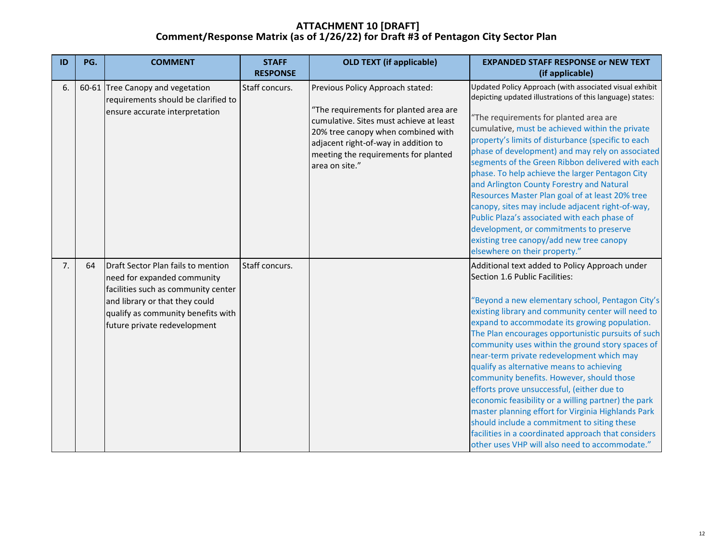| ID | PG. | <b>COMMENT</b>                                                                                                                                                                                                   | <b>STAFF</b><br><b>RESPONSE</b> | <b>OLD TEXT (if applicable)</b>                                                                                                                                                                                                                               | <b>EXPANDED STAFF RESPONSE or NEW TEXT</b>                                                                                                                                                                                                                                                                                                                                                                                                                                                                                                                                                                                                                                                                                                                                                                     |
|----|-----|------------------------------------------------------------------------------------------------------------------------------------------------------------------------------------------------------------------|---------------------------------|---------------------------------------------------------------------------------------------------------------------------------------------------------------------------------------------------------------------------------------------------------------|----------------------------------------------------------------------------------------------------------------------------------------------------------------------------------------------------------------------------------------------------------------------------------------------------------------------------------------------------------------------------------------------------------------------------------------------------------------------------------------------------------------------------------------------------------------------------------------------------------------------------------------------------------------------------------------------------------------------------------------------------------------------------------------------------------------|
|    |     |                                                                                                                                                                                                                  |                                 |                                                                                                                                                                                                                                                               | (if applicable)                                                                                                                                                                                                                                                                                                                                                                                                                                                                                                                                                                                                                                                                                                                                                                                                |
| 6. |     | 60-61 Tree Canopy and vegetation<br>requirements should be clarified to<br>ensure accurate interpretation                                                                                                        | Staff concurs.                  | Previous Policy Approach stated:<br>"The requirements for planted area are<br>cumulative. Sites must achieve at least<br>20% tree canopy when combined with<br>adjacent right-of-way in addition to<br>meeting the requirements for planted<br>area on site." | Updated Policy Approach (with associated visual exhibit<br>depicting updated illustrations of this language) states:<br>"The requirements for planted area are<br>cumulative, must be achieved within the private<br>property's limits of disturbance (specific to each<br>phase of development) and may rely on associated<br>segments of the Green Ribbon delivered with each<br>phase. To help achieve the larger Pentagon City<br>and Arlington County Forestry and Natural<br>Resources Master Plan goal of at least 20% tree<br>canopy, sites may include adjacent right-of-way,<br>Public Plaza's associated with each phase of<br>development, or commitments to preserve<br>existing tree canopy/add new tree canopy<br>elsewhere on their property."                                                 |
| 7. | 64  | Draft Sector Plan fails to mention<br>need for expanded community<br>facilities such as community center<br>and library or that they could<br>qualify as community benefits with<br>future private redevelopment | Staff concurs.                  |                                                                                                                                                                                                                                                               | Additional text added to Policy Approach under<br>Section 1.6 Public Facilities:<br>Beyond a new elementary school, Pentagon City's<br>existing library and community center will need to<br>expand to accommodate its growing population.<br>The Plan encourages opportunistic pursuits of such<br>community uses within the ground story spaces of<br>near-term private redevelopment which may<br>qualify as alternative means to achieving<br>community benefits. However, should those<br>efforts prove unsuccessful, (either due to<br>economic feasibility or a willing partner) the park<br>master planning effort for Virginia Highlands Park<br>should include a commitment to siting these<br>facilities in a coordinated approach that considers<br>other uses VHP will also need to accommodate." |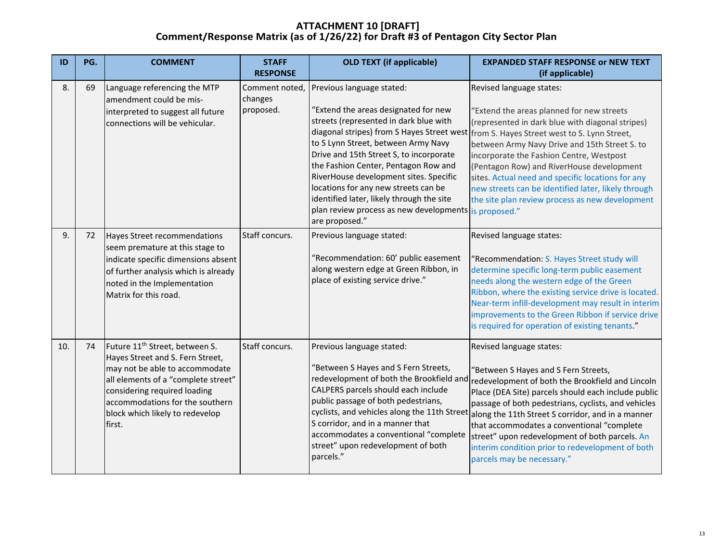| ID  | PG. | <b>COMMENT</b>                                                                                                                                                                                                                                                          | <b>STAFF</b><br><b>RESPONSE</b>        | <b>OLD TEXT (if applicable)</b>                                                                                                                                                                                                                                                                                                                                                                                                                                                 | <b>EXPANDED STAFF RESPONSE or NEW TEXT</b><br>(if applicable)                                                                                                                                                                                                                                                                                                                                                                                                                                       |
|-----|-----|-------------------------------------------------------------------------------------------------------------------------------------------------------------------------------------------------------------------------------------------------------------------------|----------------------------------------|---------------------------------------------------------------------------------------------------------------------------------------------------------------------------------------------------------------------------------------------------------------------------------------------------------------------------------------------------------------------------------------------------------------------------------------------------------------------------------|-----------------------------------------------------------------------------------------------------------------------------------------------------------------------------------------------------------------------------------------------------------------------------------------------------------------------------------------------------------------------------------------------------------------------------------------------------------------------------------------------------|
| 8.  | 69  | Language referencing the MTP<br>amendment could be mis-<br>interpreted to suggest all future<br>connections will be vehicular.                                                                                                                                          | Comment noted,<br>changes<br>proposed. | Previous language stated:<br>"Extend the areas designated for new<br>streets (represented in dark blue with<br>diagonal stripes) from S Hayes Street west<br>to S Lynn Street, between Army Navy<br>Drive and 15th Street S, to incorporate<br>the Fashion Center, Pentagon Row and<br>RiverHouse development sites. Specific<br>locations for any new streets can be<br>identified later, likely through the site<br>plan review process as new developments<br>are proposed." | Revised language states:<br>"Extend the areas planned for new streets<br>(represented in dark blue with diagonal stripes)<br>from S. Hayes Street west to S. Lynn Street,<br>between Army Navy Drive and 15th Street S. to<br>incorporate the Fashion Centre, Westpost<br>(Pentagon Row) and RiverHouse development<br>sites. Actual need and specific locations for any<br>new streets can be identified later, likely through<br>the site plan review process as new development<br>is proposed." |
| 9.  | 72  | Hayes Street recommendations<br>seem premature at this stage to<br>indicate specific dimensions absent<br>of further analysis which is already<br>noted in the Implementation<br>Matrix for this road.                                                                  | Staff concurs.                         | Previous language stated:<br>"Recommendation: 60' public easement<br>along western edge at Green Ribbon, in<br>place of existing service drive."                                                                                                                                                                                                                                                                                                                                | Revised language states:<br>'Recommendation: S. Hayes Street study will<br>determine specific long-term public easement<br>needs along the western edge of the Green<br>Ribbon, where the existing service drive is located.<br>Near-term infill-development may result in interim<br>improvements to the Green Ribbon if service drive<br>is required for operation of existing tenants."                                                                                                          |
| 10. | 74  | Future 11 <sup>th</sup> Street, between S.<br>Hayes Street and S. Fern Street,<br>may not be able to accommodate<br>all elements of a "complete street"<br>considering required loading<br>accommodations for the southern<br>block which likely to redevelop<br>first. | Staff concurs.                         | Previous language stated:<br>"Between S Hayes and S Fern Streets,<br>redevelopment of both the Brookfield and<br>CALPERS parcels should each include<br>public passage of both pedestrians,<br>cyclists, and vehicles along the 11th Street<br>S corridor, and in a manner that<br>accommodates a conventional "complete<br>street" upon redevelopment of both<br>parcels."                                                                                                     | Revised language states:<br>"Between S Hayes and S Fern Streets,<br>redevelopment of both the Brookfield and Lincoln<br>Place (DEA Site) parcels should each include public<br>passage of both pedestrians, cyclists, and vehicles<br>along the 11th Street S corridor, and in a manner<br>that accommodates a conventional "complete<br>street" upon redevelopment of both parcels. An<br>interim condition prior to redevelopment of both<br>parcels may be necessary."                           |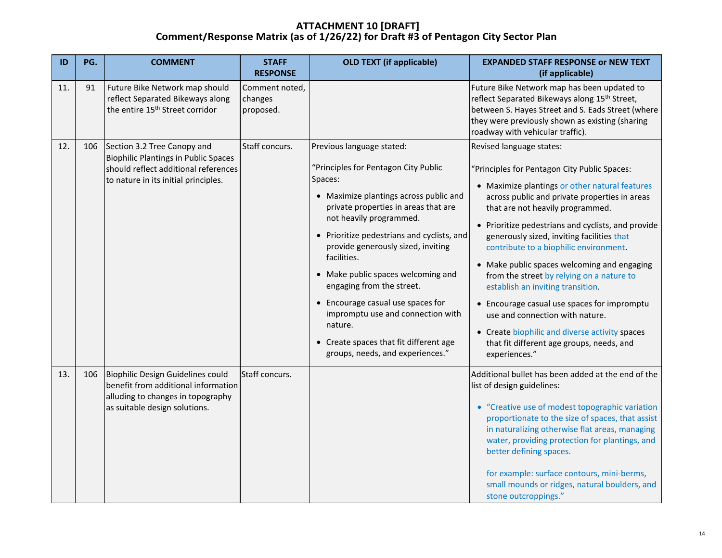| ID  | PG. | <b>COMMENT</b>                                                                                                                                      | <b>STAFF</b><br><b>RESPONSE</b>        | <b>OLD TEXT (if applicable)</b>                                                                                                                                                                                                                                                                                                                                                                                                                                                                                                    | <b>EXPANDED STAFF RESPONSE or NEW TEXT</b><br>(if applicable)                                                                                                                                                                                                                                                                                                                                                                                                                                                                                                                                                                                                                                    |
|-----|-----|-----------------------------------------------------------------------------------------------------------------------------------------------------|----------------------------------------|------------------------------------------------------------------------------------------------------------------------------------------------------------------------------------------------------------------------------------------------------------------------------------------------------------------------------------------------------------------------------------------------------------------------------------------------------------------------------------------------------------------------------------|--------------------------------------------------------------------------------------------------------------------------------------------------------------------------------------------------------------------------------------------------------------------------------------------------------------------------------------------------------------------------------------------------------------------------------------------------------------------------------------------------------------------------------------------------------------------------------------------------------------------------------------------------------------------------------------------------|
| 11. | 91  | Future Bike Network map should<br>reflect Separated Bikeways along<br>the entire 15 <sup>th</sup> Street corridor                                   | Comment noted,<br>changes<br>proposed. |                                                                                                                                                                                                                                                                                                                                                                                                                                                                                                                                    | Future Bike Network map has been updated to<br>reflect Separated Bikeways along 15 <sup>th</sup> Street,<br>between S. Hayes Street and S. Eads Street (where<br>they were previously shown as existing (sharing<br>roadway with vehicular traffic).                                                                                                                                                                                                                                                                                                                                                                                                                                             |
| 12. | 106 | Section 3.2 Tree Canopy and<br>Biophilic Plantings in Public Spaces<br>should reflect additional references<br>to nature in its initial principles. | Staff concurs.                         | Previous language stated:<br>"Principles for Pentagon City Public<br>Spaces:<br>• Maximize plantings across public and<br>private properties in areas that are<br>not heavily programmed.<br>• Prioritize pedestrians and cyclists, and<br>provide generously sized, inviting<br>facilities.<br>• Make public spaces welcoming and<br>engaging from the street.<br>• Encourage casual use spaces for<br>impromptu use and connection with<br>nature.<br>• Create spaces that fit different age<br>groups, needs, and experiences." | Revised language states:<br>'Principles for Pentagon City Public Spaces:<br>• Maximize plantings or other natural features<br>across public and private properties in areas<br>that are not heavily programmed.<br>• Prioritize pedestrians and cyclists, and provide<br>generously sized, inviting facilities that<br>contribute to a biophilic environment.<br>• Make public spaces welcoming and engaging<br>from the street by relying on a nature to<br>establish an inviting transition.<br>• Encourage casual use spaces for impromptu<br>use and connection with nature.<br>• Create biophilic and diverse activity spaces<br>that fit different age groups, needs, and<br>experiences." |
| 13. | 106 | Biophilic Design Guidelines could<br>benefit from additional information<br>alluding to changes in topography<br>as suitable design solutions.      | Staff concurs.                         |                                                                                                                                                                                                                                                                                                                                                                                                                                                                                                                                    | Additional bullet has been added at the end of the<br>list of design guidelines:<br>• "Creative use of modest topographic variation<br>proportionate to the size of spaces, that assist<br>in naturalizing otherwise flat areas, managing<br>water, providing protection for plantings, and<br>better defining spaces.<br>for example: surface contours, mini-berms,<br>small mounds or ridges, natural boulders, and<br>stone outcroppings."                                                                                                                                                                                                                                                    |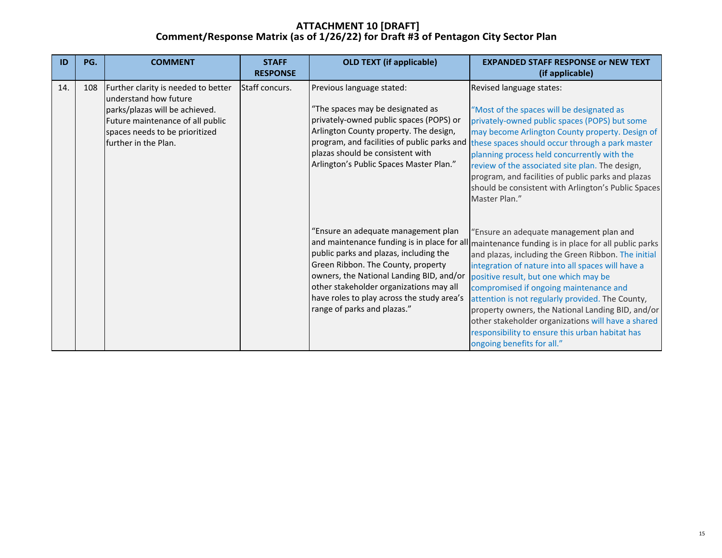| ID  | PG. | <b>COMMENT</b>                                                                                                                                                                               | <b>STAFF</b><br><b>RESPONSE</b> | <b>OLD TEXT (if applicable)</b>                                                                                                                                                                                                                                                         | <b>EXPANDED STAFF RESPONSE or NEW TEXT</b><br>(if applicable)                                                                                                                                                                                                                                                                                                                                                                                                                                                                                                                              |
|-----|-----|----------------------------------------------------------------------------------------------------------------------------------------------------------------------------------------------|---------------------------------|-----------------------------------------------------------------------------------------------------------------------------------------------------------------------------------------------------------------------------------------------------------------------------------------|--------------------------------------------------------------------------------------------------------------------------------------------------------------------------------------------------------------------------------------------------------------------------------------------------------------------------------------------------------------------------------------------------------------------------------------------------------------------------------------------------------------------------------------------------------------------------------------------|
| 14. | 108 | Further clarity is needed to better<br>understand how future<br>parks/plazas will be achieved.<br>Future maintenance of all public<br>spaces needs to be prioritized<br>further in the Plan. | Staff concurs.                  | Previous language stated:<br>"The spaces may be designated as<br>privately-owned public spaces (POPS) or<br>Arlington County property. The design,<br>program, and facilities of public parks and<br>plazas should be consistent with<br>Arlington's Public Spaces Master Plan."        | Revised language states:<br>"Most of the spaces will be designated as<br>privately-owned public spaces (POPS) but some<br>may become Arlington County property. Design of<br>these spaces should occur through a park master<br>planning process held concurrently with the<br>review of the associated site plan. The design,<br>program, and facilities of public parks and plazas<br>should be consistent with Arlington's Public Spaces<br>Master Plan."                                                                                                                               |
|     |     |                                                                                                                                                                                              |                                 | "Ensure an adequate management plan<br>public parks and plazas, including the<br>Green Ribbon. The County, property<br>owners, the National Landing BID, and/or<br>other stakeholder organizations may all<br>have roles to play across the study area's<br>range of parks and plazas." | 'Ensure an adequate management plan and<br>and maintenance funding is in place for all maintenance funding is in place for all public parks<br>and plazas, including the Green Ribbon. The initial<br>integration of nature into all spaces will have a<br>positive result, but one which may be<br>compromised if ongoing maintenance and<br>attention is not regularly provided. The County,<br>property owners, the National Landing BID, and/or<br>other stakeholder organizations will have a shared<br>responsibility to ensure this urban habitat has<br>ongoing benefits for all." |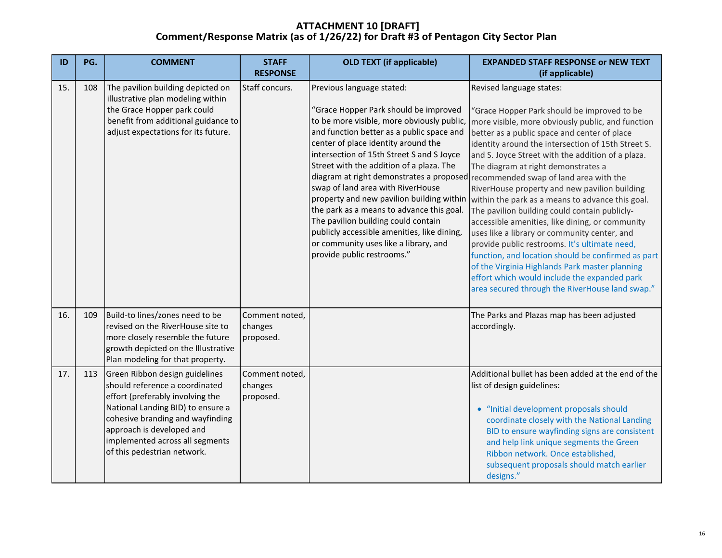| ID  | PG. | <b>COMMENT</b>                                                                                                                                                                                                                                                               | <b>STAFF</b><br><b>RESPONSE</b>        | <b>OLD TEXT (if applicable)</b>                                                                                                                                                                                                                                                                                                                                                                                                                                                                                                                                                           | <b>EXPANDED STAFF RESPONSE or NEW TEXT</b><br>(if applicable)                                                                                                                                                                                                                                                                                                                                                                                                                                                                                                                                                                                                                                                                                                                                                                                                                                                                          |
|-----|-----|------------------------------------------------------------------------------------------------------------------------------------------------------------------------------------------------------------------------------------------------------------------------------|----------------------------------------|-------------------------------------------------------------------------------------------------------------------------------------------------------------------------------------------------------------------------------------------------------------------------------------------------------------------------------------------------------------------------------------------------------------------------------------------------------------------------------------------------------------------------------------------------------------------------------------------|----------------------------------------------------------------------------------------------------------------------------------------------------------------------------------------------------------------------------------------------------------------------------------------------------------------------------------------------------------------------------------------------------------------------------------------------------------------------------------------------------------------------------------------------------------------------------------------------------------------------------------------------------------------------------------------------------------------------------------------------------------------------------------------------------------------------------------------------------------------------------------------------------------------------------------------|
| 15. | 108 | The pavilion building depicted on<br>illustrative plan modeling within<br>the Grace Hopper park could<br>benefit from additional guidance to<br>adjust expectations for its future.                                                                                          | Staff concurs.                         | Previous language stated:<br>"Grace Hopper Park should be improved<br>to be more visible, more obviously public,<br>and function better as a public space and<br>center of place identity around the<br>intersection of 15th Street S and S Joyce<br>Street with the addition of a plaza. The<br>swap of land area with RiverHouse<br>property and new pavilion building within<br>the park as a means to advance this goal.<br>The pavilion building could contain<br>publicly accessible amenities, like dining,<br>or community uses like a library, and<br>provide public restrooms." | Revised language states:<br>'Grace Hopper Park should be improved to be<br>more visible, more obviously public, and function<br>better as a public space and center of place<br>identity around the intersection of 15th Street S.<br>and S. Joyce Street with the addition of a plaza.<br>The diagram at right demonstrates a<br>diagram at right demonstrates a proposed recommended swap of land area with the<br>RiverHouse property and new pavilion building<br>within the park as a means to advance this goal.<br>The pavilion building could contain publicly-<br>accessible amenities, like dining, or community<br>uses like a library or community center, and<br>provide public restrooms. It's ultimate need,<br>function, and location should be confirmed as part<br>of the Virginia Highlands Park master planning<br>effort which would include the expanded park<br>area secured through the RiverHouse land swap." |
| 16. | 109 | Build-to lines/zones need to be<br>revised on the RiverHouse site to<br>more closely resemble the future<br>growth depicted on the Illustrative<br>Plan modeling for that property.                                                                                          | Comment noted,<br>changes<br>proposed. |                                                                                                                                                                                                                                                                                                                                                                                                                                                                                                                                                                                           | The Parks and Plazas map has been adjusted<br>accordingly.                                                                                                                                                                                                                                                                                                                                                                                                                                                                                                                                                                                                                                                                                                                                                                                                                                                                             |
| 17. | 113 | Green Ribbon design guidelines<br>should reference a coordinated<br>effort (preferably involving the<br>National Landing BID) to ensure a<br>cohesive branding and wayfinding<br>approach is developed and<br>implemented across all segments<br>of this pedestrian network. | Comment noted,<br>changes<br>proposed. |                                                                                                                                                                                                                                                                                                                                                                                                                                                                                                                                                                                           | Additional bullet has been added at the end of the<br>list of design guidelines:<br>• "Initial development proposals should<br>coordinate closely with the National Landing<br>BID to ensure wayfinding signs are consistent<br>and help link unique segments the Green<br>Ribbon network. Once established,<br>subsequent proposals should match earlier<br>designs."                                                                                                                                                                                                                                                                                                                                                                                                                                                                                                                                                                 |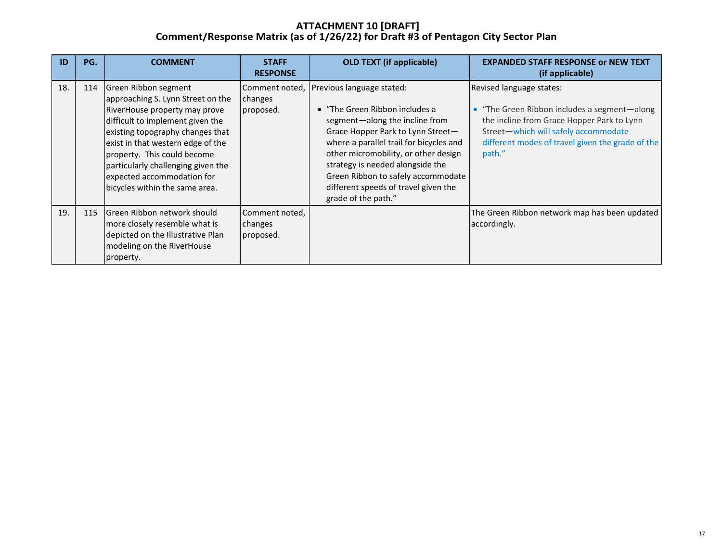| ID  | PG. | <b>COMMENT</b>                                                                                                                                                                                                                                                                                                                               | <b>STAFF</b><br><b>RESPONSE</b>        | <b>OLD TEXT (if applicable)</b>                                                                                                                                                                                                                                                                                                                                | <b>EXPANDED STAFF RESPONSE or NEW TEXT</b><br>(if applicable)                                                                                                                                                               |
|-----|-----|----------------------------------------------------------------------------------------------------------------------------------------------------------------------------------------------------------------------------------------------------------------------------------------------------------------------------------------------|----------------------------------------|----------------------------------------------------------------------------------------------------------------------------------------------------------------------------------------------------------------------------------------------------------------------------------------------------------------------------------------------------------------|-----------------------------------------------------------------------------------------------------------------------------------------------------------------------------------------------------------------------------|
| 18. | 114 | Green Ribbon segment<br>approaching S. Lynn Street on the<br>RiverHouse property may prove<br>difficult to implement given the<br>existing topography changes that<br>exist in that western edge of the<br>property. This could become<br>particularly challenging given the<br>expected accommodation for<br>bicycles within the same area. | Comment noted,<br>changes<br>proposed. | Previous language stated:<br>• "The Green Ribbon includes a<br>segment-along the incline from<br>Grace Hopper Park to Lynn Street-<br>where a parallel trail for bicycles and<br>other micromobility, or other design<br>strategy is needed alongside the<br>Green Ribbon to safely accommodate<br>different speeds of travel given the<br>grade of the path." | Revised language states:<br>"The Green Ribbon includes a segment-along"<br>the incline from Grace Hopper Park to Lynn<br>Street-which will safely accommodate<br>different modes of travel given the grade of the<br>path." |
| 19. | 115 | <b>S</b> IGreen Ribbon network should<br>more closely resemble what is<br>depicted on the Illustrative Plan<br>modeling on the RiverHouse<br>property.                                                                                                                                                                                       | Comment noted,<br>changes<br>proposed. |                                                                                                                                                                                                                                                                                                                                                                | The Green Ribbon network map has been updated<br>accordingly.                                                                                                                                                               |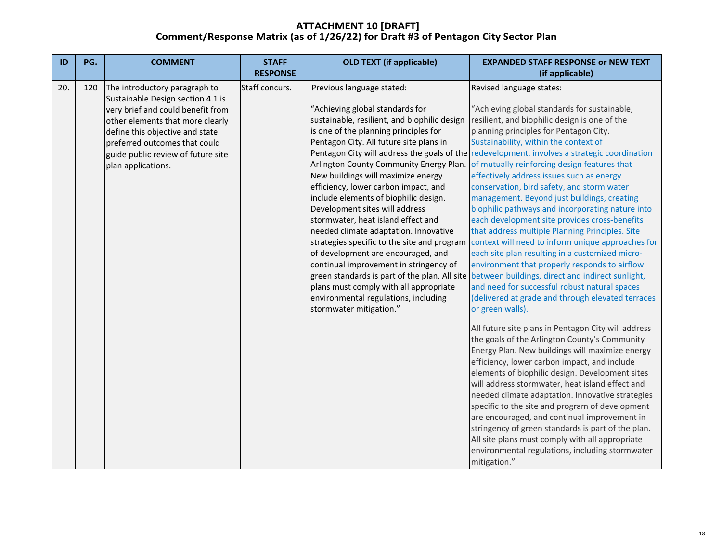| ID  | PG. | <b>COMMENT</b>                                                                                                                                                                                                                             | <b>STAFF</b><br><b>RESPONSE</b> | <b>OLD TEXT (if applicable)</b>                                                                                                                                                                                                                                                                                                                                                                                                                                                                                                                                                                                                                                                                                                                                                                    | <b>EXPANDED STAFF RESPONSE or NEW TEXT</b><br>(if applicable)                                                                                                                                                                                                                                                                                                                                                                                                                                                                                                                                                                                                                                                                                                                                                                                                                                                                 |
|-----|-----|--------------------------------------------------------------------------------------------------------------------------------------------------------------------------------------------------------------------------------------------|---------------------------------|----------------------------------------------------------------------------------------------------------------------------------------------------------------------------------------------------------------------------------------------------------------------------------------------------------------------------------------------------------------------------------------------------------------------------------------------------------------------------------------------------------------------------------------------------------------------------------------------------------------------------------------------------------------------------------------------------------------------------------------------------------------------------------------------------|-------------------------------------------------------------------------------------------------------------------------------------------------------------------------------------------------------------------------------------------------------------------------------------------------------------------------------------------------------------------------------------------------------------------------------------------------------------------------------------------------------------------------------------------------------------------------------------------------------------------------------------------------------------------------------------------------------------------------------------------------------------------------------------------------------------------------------------------------------------------------------------------------------------------------------|
| 20. | 120 | The introductory paragraph to                                                                                                                                                                                                              | Staff concurs.                  | Previous language stated:                                                                                                                                                                                                                                                                                                                                                                                                                                                                                                                                                                                                                                                                                                                                                                          | Revised language states:                                                                                                                                                                                                                                                                                                                                                                                                                                                                                                                                                                                                                                                                                                                                                                                                                                                                                                      |
|     |     | Sustainable Design section 4.1 is<br>very brief and could benefit from<br>other elements that more clearly<br>define this objective and state<br>preferred outcomes that could<br>guide public review of future site<br>plan applications. |                                 | "Achieving global standards for<br>sustainable, resilient, and biophilic design<br>is one of the planning principles for<br>Pentagon City. All future site plans in<br>Pentagon City will address the goals of the<br>Arlington County Community Energy Plan.<br>New buildings will maximize energy<br>efficiency, lower carbon impact, and<br>include elements of biophilic design.<br>Development sites will address<br>stormwater, heat island effect and<br>needed climate adaptation. Innovative<br>strategies specific to the site and program<br>of development are encouraged, and<br>continual improvement in stringency of<br>green standards is part of the plan. All site<br>plans must comply with all appropriate<br>environmental regulations, including<br>stormwater mitigation." | "Achieving global standards for sustainable,<br>resilient, and biophilic design is one of the<br>planning principles for Pentagon City.<br>Sustainability, within the context of<br>redevelopment, involves a strategic coordination<br>of mutually reinforcing design features that<br>effectively address issues such as energy<br>conservation, bird safety, and storm water<br>management. Beyond just buildings, creating<br>biophilic pathways and incorporating nature into<br>each development site provides cross-benefits<br>that address multiple Planning Principles. Site<br>context will need to inform unique approaches for<br>each site plan resulting in a customized micro-<br>environment that properly responds to airflow<br>between buildings, direct and indirect sunlight,<br>and need for successful robust natural spaces<br>(delivered at grade and through elevated terraces<br>or green walls). |
|     |     |                                                                                                                                                                                                                                            |                                 |                                                                                                                                                                                                                                                                                                                                                                                                                                                                                                                                                                                                                                                                                                                                                                                                    | All future site plans in Pentagon City will address<br>the goals of the Arlington County's Community<br>Energy Plan. New buildings will maximize energy<br>efficiency, lower carbon impact, and include<br>elements of biophilic design. Development sites<br>will address stormwater, heat island effect and<br>needed climate adaptation. Innovative strategies<br>specific to the site and program of development<br>are encouraged, and continual improvement in<br>stringency of green standards is part of the plan.<br>All site plans must comply with all appropriate<br>environmental regulations, including stormwater<br>mitigation."                                                                                                                                                                                                                                                                              |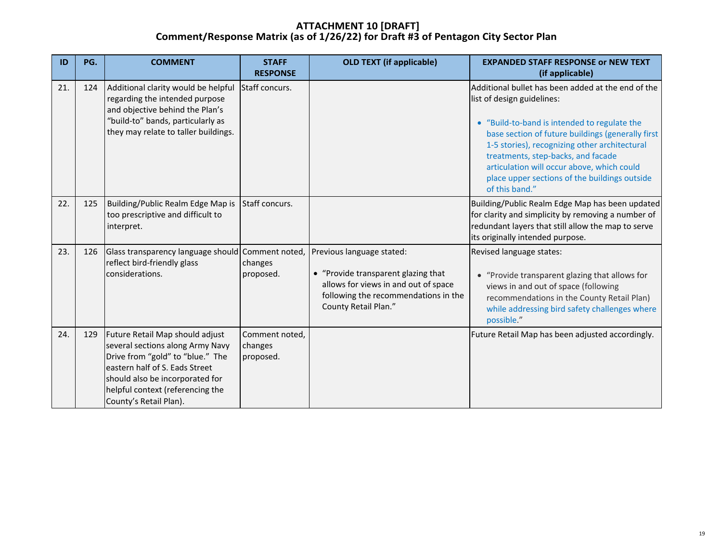| ID  | PG. | <b>COMMENT</b>                                                                                                                                                                                                                             | <b>STAFF</b><br><b>RESPONSE</b>        | <b>OLD TEXT (if applicable)</b>                                                                                                                                          | <b>EXPANDED STAFF RESPONSE or NEW TEXT</b><br>(if applicable)                                                                                                                                                                                                                                                                                                                                 |
|-----|-----|--------------------------------------------------------------------------------------------------------------------------------------------------------------------------------------------------------------------------------------------|----------------------------------------|--------------------------------------------------------------------------------------------------------------------------------------------------------------------------|-----------------------------------------------------------------------------------------------------------------------------------------------------------------------------------------------------------------------------------------------------------------------------------------------------------------------------------------------------------------------------------------------|
| 21. | 124 | Additional clarity would be helpful<br>regarding the intended purpose<br>and objective behind the Plan's<br>"build-to" bands, particularly as<br>they may relate to taller buildings.                                                      | Staff concurs.                         |                                                                                                                                                                          | Additional bullet has been added at the end of the<br>list of design guidelines:<br>• "Build-to-band is intended to regulate the<br>base section of future buildings (generally first<br>1-5 stories), recognizing other architectural<br>treatments, step-backs, and facade<br>articulation will occur above, which could<br>place upper sections of the buildings outside<br>of this band." |
| 22. | 125 | Building/Public Realm Edge Map is<br>too prescriptive and difficult to<br>interpret.                                                                                                                                                       | Staff concurs.                         |                                                                                                                                                                          | Building/Public Realm Edge Map has been updated<br>for clarity and simplicity by removing a number of<br>redundant layers that still allow the map to serve<br>its originally intended purpose.                                                                                                                                                                                               |
| 23. | 126 | Glass transparency language should Comment noted,<br>reflect bird-friendly glass<br>considerations.                                                                                                                                        | changes<br>proposed.                   | Previous language stated:<br>• "Provide transparent glazing that<br>allows for views in and out of space<br>following the recommendations in the<br>County Retail Plan." | Revised language states:<br>• "Provide transparent glazing that allows for<br>views in and out of space (following<br>recommendations in the County Retail Plan)<br>while addressing bird safety challenges where<br>possible."                                                                                                                                                               |
| 24. | 129 | Future Retail Map should adjust<br>several sections along Army Navy<br>Drive from "gold" to "blue." The<br>eastern half of S. Eads Street<br>should also be incorporated for<br>helpful context (referencing the<br>County's Retail Plan). | Comment noted,<br>changes<br>proposed. |                                                                                                                                                                          | Future Retail Map has been adjusted accordingly.                                                                                                                                                                                                                                                                                                                                              |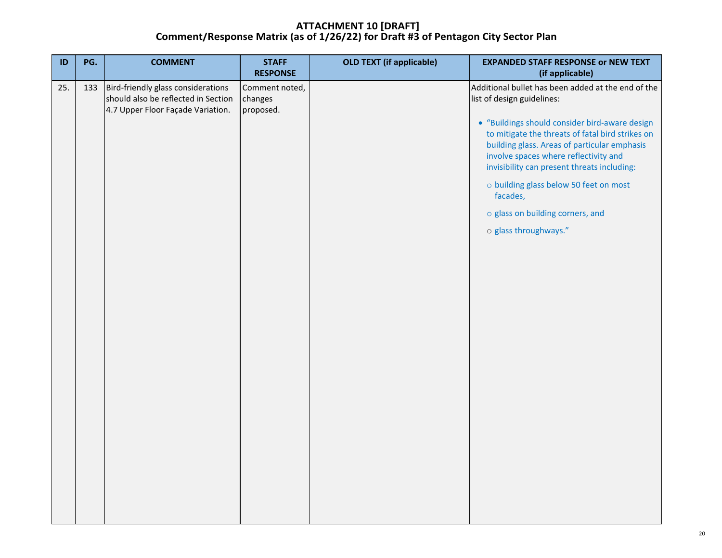| ID  | PG. | <b>COMMENT</b>                                                                                                 | <b>STAFF</b><br><b>RESPONSE</b>        | <b>OLD TEXT (if applicable)</b> | <b>EXPANDED STAFF RESPONSE or NEW TEXT</b><br>(if applicable)                                                                                                                                                                                                                                                                                                                                                                                     |
|-----|-----|----------------------------------------------------------------------------------------------------------------|----------------------------------------|---------------------------------|---------------------------------------------------------------------------------------------------------------------------------------------------------------------------------------------------------------------------------------------------------------------------------------------------------------------------------------------------------------------------------------------------------------------------------------------------|
| 25. | 133 | Bird-friendly glass considerations<br>should also be reflected in Section<br>4.7 Upper Floor Façade Variation. | Comment noted,<br>changes<br>proposed. |                                 | Additional bullet has been added at the end of the<br>list of design guidelines:<br>• "Buildings should consider bird-aware design<br>to mitigate the threats of fatal bird strikes on<br>building glass. Areas of particular emphasis<br>involve spaces where reflectivity and<br>invisibility can present threats including:<br>o building glass below 50 feet on most<br>facades,<br>o glass on building corners, and<br>o glass throughways." |
|     |     |                                                                                                                |                                        |                                 |                                                                                                                                                                                                                                                                                                                                                                                                                                                   |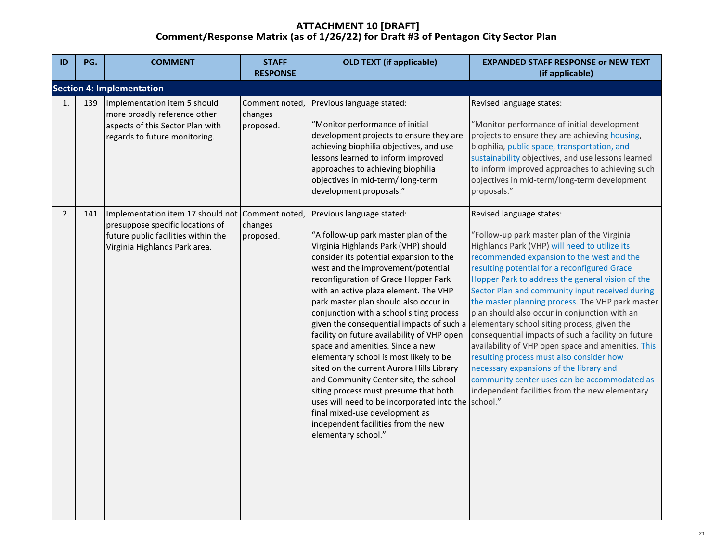| ID             | PG. | <b>COMMENT</b>                                                                                                                                | <b>STAFF</b><br><b>RESPONSE</b>        | <b>OLD TEXT (if applicable)</b>                                                                                                                                                                                                                                                                                                                                                                                                                                                                                                                                                                                                                                                                                                                                                                                                  | <b>EXPANDED STAFF RESPONSE or NEW TEXT</b><br>(if applicable)                                                                                                                                                                                                                                                                                                                                                                                                                                                                                                                                                                                                                                                                                                                         |
|----------------|-----|-----------------------------------------------------------------------------------------------------------------------------------------------|----------------------------------------|----------------------------------------------------------------------------------------------------------------------------------------------------------------------------------------------------------------------------------------------------------------------------------------------------------------------------------------------------------------------------------------------------------------------------------------------------------------------------------------------------------------------------------------------------------------------------------------------------------------------------------------------------------------------------------------------------------------------------------------------------------------------------------------------------------------------------------|---------------------------------------------------------------------------------------------------------------------------------------------------------------------------------------------------------------------------------------------------------------------------------------------------------------------------------------------------------------------------------------------------------------------------------------------------------------------------------------------------------------------------------------------------------------------------------------------------------------------------------------------------------------------------------------------------------------------------------------------------------------------------------------|
|                |     | <b>Section 4: Implementation</b>                                                                                                              |                                        |                                                                                                                                                                                                                                                                                                                                                                                                                                                                                                                                                                                                                                                                                                                                                                                                                                  |                                                                                                                                                                                                                                                                                                                                                                                                                                                                                                                                                                                                                                                                                                                                                                                       |
| $\mathbf{1}$ . | 139 | Implementation item 5 should<br>more broadly reference other<br>aspects of this Sector Plan with<br>regards to future monitoring.             | Comment noted,<br>changes<br>proposed. | Previous language stated:<br>"Monitor performance of initial<br>development projects to ensure they are<br>achieving biophilia objectives, and use<br>lessons learned to inform improved<br>approaches to achieving biophilia<br>objectives in mid-term/ long-term<br>development proposals."                                                                                                                                                                                                                                                                                                                                                                                                                                                                                                                                    | Revised language states:<br>"Monitor performance of initial development<br>projects to ensure they are achieving housing,<br>biophilia, public space, transportation, and<br>sustainability objectives, and use lessons learned<br>to inform improved approaches to achieving such<br>objectives in mid-term/long-term development<br>proposals."                                                                                                                                                                                                                                                                                                                                                                                                                                     |
| 2.             | 141 | Implementation item 17 should not<br>presuppose specific locations of<br>future public facilities within the<br>Virginia Highlands Park area. | Comment noted,<br>changes<br>proposed. | Previous language stated:<br>"A follow-up park master plan of the<br>Virginia Highlands Park (VHP) should<br>consider its potential expansion to the<br>west and the improvement/potential<br>reconfiguration of Grace Hopper Park<br>with an active plaza element. The VHP<br>park master plan should also occur in<br>conjunction with a school siting process<br>given the consequential impacts of such a<br>facility on future availability of VHP open<br>space and amenities. Since a new<br>elementary school is most likely to be<br>sited on the current Aurora Hills Library<br>and Community Center site, the school<br>siting process must presume that both<br>uses will need to be incorporated into the school."<br>final mixed-use development as<br>independent facilities from the new<br>elementary school." | Revised language states:<br>"Follow-up park master plan of the Virginia<br>Highlands Park (VHP) will need to utilize its<br>recommended expansion to the west and the<br>resulting potential for a reconfigured Grace<br>Hopper Park to address the general vision of the<br>Sector Plan and community input received during<br>the master planning process. The VHP park master<br>plan should also occur in conjunction with an<br>elementary school siting process, given the<br>consequential impacts of such a facility on future<br>availability of VHP open space and amenities. This<br>resulting process must also consider how<br>necessary expansions of the library and<br>community center uses can be accommodated as<br>independent facilities from the new elementary |